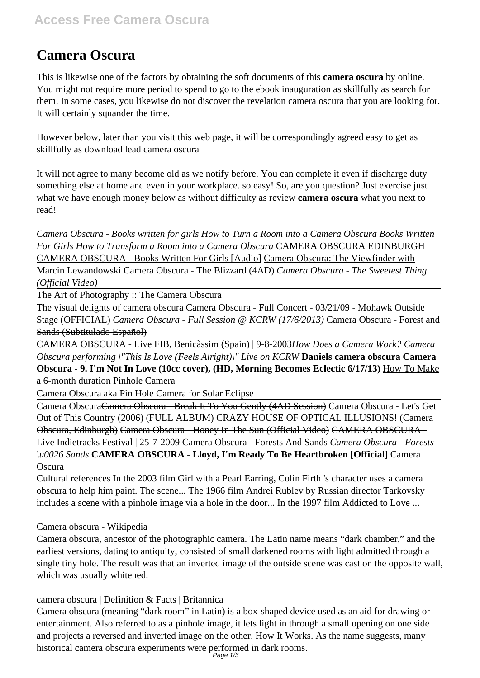# **Camera Oscura**

This is likewise one of the factors by obtaining the soft documents of this **camera oscura** by online. You might not require more period to spend to go to the ebook inauguration as skillfully as search for them. In some cases, you likewise do not discover the revelation camera oscura that you are looking for. It will certainly squander the time.

However below, later than you visit this web page, it will be correspondingly agreed easy to get as skillfully as download lead camera oscura

It will not agree to many become old as we notify before. You can complete it even if discharge duty something else at home and even in your workplace. so easy! So, are you question? Just exercise just what we have enough money below as without difficulty as review **camera oscura** what you next to read!

*Camera Obscura - Books written for girls How to Turn a Room into a Camera Obscura Books Written For Girls How to Transform a Room into a Camera Obscura* CAMERA OBSCURA EDINBURGH CAMERA OBSCURA - Books Written For Girls [Audio] Camera Obscura: The Viewfinder with Marcin Lewandowski Camera Obscura - The Blizzard (4AD) *Camera Obscura - The Sweetest Thing (Official Video)*

The Art of Photography :: The Camera Obscura

The visual delights of camera obscura Camera Obscura - Full Concert - 03/21/09 - Mohawk Outside Stage (OFFICIAL) *Camera Obscura - Full Session @ KCRW (17/6/2013)* Camera Obscura - Forest and Sands (Subtitulado Español)

CAMERA OBSCURA - Live FIB, Benicàssim (Spain) | 9-8-2003*How Does a Camera Work? Camera Obscura performing \"This Is Love (Feels Alright)\" Live on KCRW* **Daniels camera obscura Camera Obscura - 9. I'm Not In Love (10cc cover), (HD, Morning Becomes Eclectic 6/17/13)** How To Make a 6-month duration Pinhole Camera

Camera Obscura aka Pin Hole Camera for Solar Eclipse

Camera ObscuraCamera Obscura - Break It To You Gently (4AD Session) Camera Obscura - Let's Get Out of This Country (2006) (FULL ALBUM) CRAZY HOUSE OF OPTICAL ILLUSIONS! (Camera Obscura, Edinburgh) Camera Obscura - Honey In The Sun (Official Video) CAMERA OBSCURA - Live Indietracks Festival | 25-7-2009 Camera Obscura - Forests And Sands *Camera Obscura - Forests \u0026 Sands* **CAMERA OBSCURA - Lloyd, I'm Ready To Be Heartbroken [Official]** Camera **O**scura

Cultural references In the 2003 film Girl with a Pearl Earring, Colin Firth 's character uses a camera obscura to help him paint. The scene... The 1966 film Andrei Rublev by Russian director Tarkovsky includes a scene with a pinhole image via a hole in the door... In the 1997 film Addicted to Love ...

## Camera obscura - Wikipedia

Camera obscura, ancestor of the photographic camera. The Latin name means "dark chamber," and the earliest versions, dating to antiquity, consisted of small darkened rooms with light admitted through a single tiny hole. The result was that an inverted image of the outside scene was cast on the opposite wall, which was usually whitened.

## camera obscura | Definition & Facts | Britannica

Camera obscura (meaning "dark room" in Latin) is a box-shaped device used as an aid for drawing or entertainment. Also referred to as a pinhole image, it lets light in through a small opening on one side and projects a reversed and inverted image on the other. How It Works. As the name suggests, many historical camera obscura experiments were performed in dark rooms.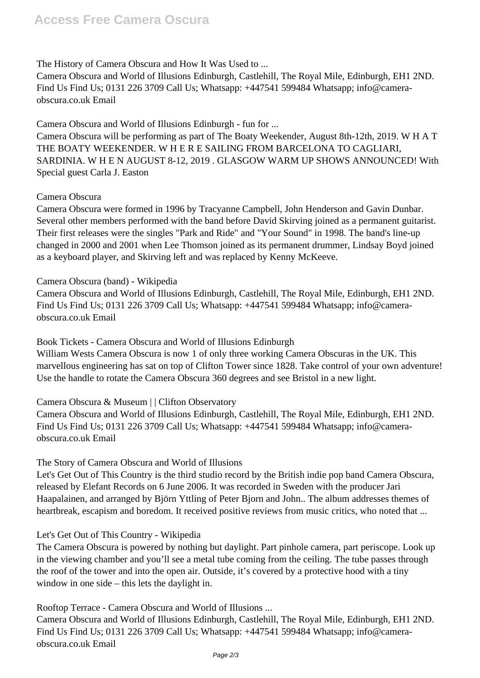## The History of Camera Obscura and How It Was Used to ...

Camera Obscura and World of Illusions Edinburgh, Castlehill, The Royal Mile, Edinburgh, EH1 2ND. Find Us Find Us; 0131 226 3709 Call Us; Whatsapp: +447541 599484 Whatsapp; info@cameraobscura.co.uk Email

Camera Obscura and World of Illusions Edinburgh - fun for ...

Camera Obscura will be performing as part of The Boaty Weekender, August 8th-12th, 2019. W H A T THE BOATY WEEKENDER. W H E R E SAILING FROM BARCELONA TO CAGLIARI, SARDINIA. W H E N AUGUST 8-12, 2019 . GLASGOW WARM UP SHOWS ANNOUNCED! With Special guest Carla J. Easton

## Camera Obscura

Camera Obscura were formed in 1996 by Tracyanne Campbell, John Henderson and Gavin Dunbar. Several other members performed with the band before David Skirving joined as a permanent guitarist. Their first releases were the singles "Park and Ride" and "Your Sound" in 1998. The band's line-up changed in 2000 and 2001 when Lee Thomson joined as its permanent drummer, Lindsay Boyd joined as a keyboard player, and Skirving left and was replaced by Kenny McKeeve.

## Camera Obscura (band) - Wikipedia

Camera Obscura and World of Illusions Edinburgh, Castlehill, The Royal Mile, Edinburgh, EH1 2ND. Find Us Find Us; 0131 226 3709 Call Us; Whatsapp: +447541 599484 Whatsapp; info@cameraobscura.co.uk Email

Book Tickets - Camera Obscura and World of Illusions Edinburgh

William Wests Camera Obscura is now 1 of only three working Camera Obscuras in the UK. This marvellous engineering has sat on top of Clifton Tower since 1828. Take control of your own adventure! Use the handle to rotate the Camera Obscura 360 degrees and see Bristol in a new light.

## Camera Obscura & Museum | | Clifton Observatory

Camera Obscura and World of Illusions Edinburgh, Castlehill, The Royal Mile, Edinburgh, EH1 2ND. Find Us Find Us; 0131 226 3709 Call Us; Whatsapp: +447541 599484 Whatsapp; info@cameraobscura.co.uk Email

## The Story of Camera Obscura and World of Illusions

Let's Get Out of This Country is the third studio record by the British indie pop band Camera Obscura, released by Elefant Records on 6 June 2006. It was recorded in Sweden with the producer Jari Haapalainen, and arranged by Björn Yttling of Peter Bjorn and John.. The album addresses themes of heartbreak, escapism and boredom. It received positive reviews from music critics, who noted that ...

## Let's Get Out of This Country - Wikipedia

The Camera Obscura is powered by nothing but daylight. Part pinhole camera, part periscope. Look up in the viewing chamber and you'll see a metal tube coming from the ceiling. The tube passes through the roof of the tower and into the open air. Outside, it's covered by a protective hood with a tiny window in one side – this lets the daylight in.

Rooftop Terrace - Camera Obscura and World of Illusions ...

Camera Obscura and World of Illusions Edinburgh, Castlehill, The Royal Mile, Edinburgh, EH1 2ND. Find Us Find Us; 0131 226 3709 Call Us; Whatsapp: +447541 599484 Whatsapp; info@cameraobscura.co.uk Email